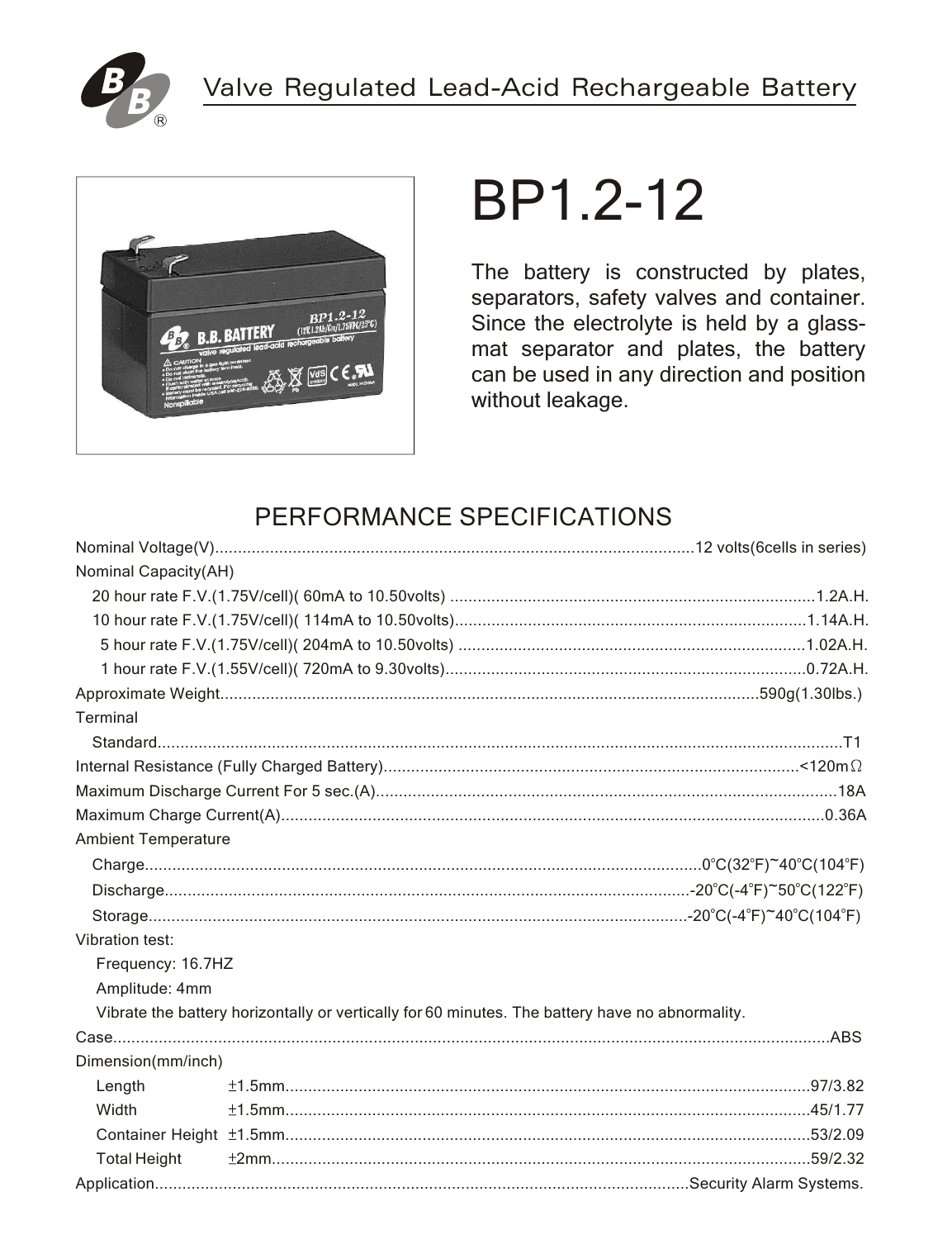



# BP1.2-12

The battery is constructed by plates, separators, safety valves and container. Since the electrolyte is held by a glassmat separator and plates, the battery can be used in any direction and position without leakage.

## PERFORMANCE SPECIFICATIONS

| Nominal Capacity(AH)       |                                                                                                 |  |
|----------------------------|-------------------------------------------------------------------------------------------------|--|
|                            |                                                                                                 |  |
|                            |                                                                                                 |  |
|                            |                                                                                                 |  |
|                            |                                                                                                 |  |
|                            |                                                                                                 |  |
| Terminal                   |                                                                                                 |  |
|                            |                                                                                                 |  |
|                            |                                                                                                 |  |
|                            |                                                                                                 |  |
|                            |                                                                                                 |  |
| <b>Ambient Temperature</b> |                                                                                                 |  |
|                            |                                                                                                 |  |
|                            |                                                                                                 |  |
|                            |                                                                                                 |  |
| Vibration test:            |                                                                                                 |  |
| Frequency: 16.7HZ          |                                                                                                 |  |
| Amplitude: 4mm             |                                                                                                 |  |
|                            | Vibrate the battery horizontally or vertically for 60 minutes. The battery have no abnormality. |  |
|                            |                                                                                                 |  |
| Dimension(mm/inch)         |                                                                                                 |  |
| Length                     |                                                                                                 |  |
| Width                      |                                                                                                 |  |
|                            |                                                                                                 |  |
| <b>Total Height</b>        |                                                                                                 |  |
|                            |                                                                                                 |  |
|                            |                                                                                                 |  |